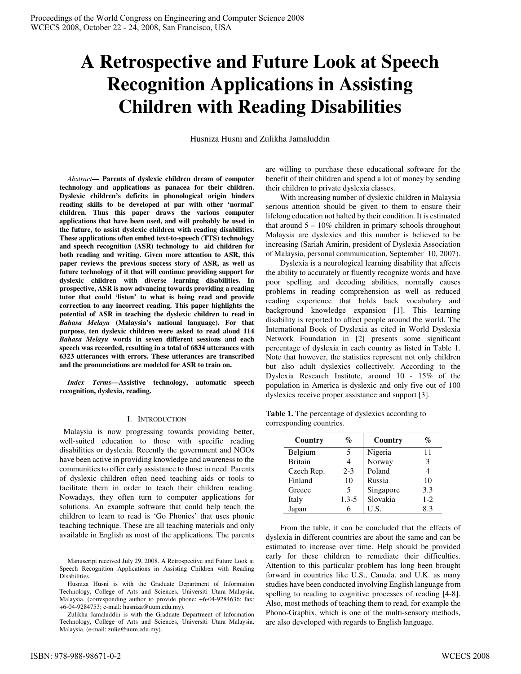# **A Retrospective and Future Look at Speech Recognition Applications in Assisting Children with Reading Disabilities**

Husniza Husni and Zulikha Jamaluddin

*Abstract***— Parents of dyslexic children dream of computer technology and applications as panacea for their children. Dyslexic children's deficits in phonological origin hinders reading skills to be developed at par with other 'normal' children. Thus this paper draws the various computer applications that have been used, and will probably be used in the future, to assist dyslexic children with reading disabilities. These applications often embed text-to-speech (TTS) technology and speech recognition (ASR) technology to aid children for both reading and writing. Given more attention to ASR, this paper reviews the previous success story of ASR, as well as future technology of it that will continue providing support for dyslexic children with diverse learning disabilities. In prospective, ASR is now advancing towards providing a reading tutor that could 'listen' to what is being read and provide correction to any incorrect reading. This paper highlights the potential of ASR in teaching the dyslexic children to read in**  *Bahasa Melayu* **(Malaysia's national language). For that purpose, ten dyslexic children were asked to read aloud 114**  *Bahasa Melayu* **words in seven different sessions and each speech was recorded, resulting in a total of 6834 utterances with 6323 utterances with errors. These utterances are transcribed and the pronunciations are modeled for ASR to train on.** 

*Index Terms***—Assistive technology, automatic speech recognition, dyslexia, reading.** 

### I. INTRODUCTION

 Malaysia is now progressing towards providing better, well-suited education to those with specific reading disabilities or dyslexia. Recently the government and NGOs have been active in providing knowledge and awareness to the communities to offer early assistance to those in need. Parents of dyslexic children often need teaching aids or tools to facilitate them in order to teach their children reading. Nowadays, they often turn to computer applications for solutions. An example software that could help teach the children to learn to read is 'Go Phonics' that uses phonic teaching technique. These are all teaching materials and only available in English as most of the applications. The parents

Manuscript received July 29, 2008. A Retrospective and Future Look at Speech Recognition Applications in Assisting Children with Reading Disabilities.

Husniza Husni is with the Graduate Department of Information Technology, College of Arts and Sciences, Universiti Utara Malaysia, Malaysia. (corresponding author to provide phone: +6-04-9284636; fax: +6-04-9284753; e-mail: husniza@uum.edu.my).

Zulikha Jamaluddin is with the Graduate Department of Information Technology, College of Arts and Sciences, Universiti Utara Malaysia, Malaysia. (e-mail: zulie@uum.edu.my).

are willing to purchase these educational software for the benefit of their children and spend a lot of money by sending their children to private dyslexia classes.

With increasing number of dyslexic children in Malaysia serious attention should be given to them to ensure their lifelong education not halted by their condition. It is estimated that around  $5 - 10\%$  children in primary schools throughout Malaysia are dyslexics and this number is believed to be increasing (Sariah Amirin, president of Dyslexia Association of Malaysia, personal communication, September 10, 2007).

Dyslexia is a neurological learning disability that affects the ability to accurately or fluently recognize words and have poor spelling and decoding abilities, normally causes problems in reading comprehension as well as reduced reading experience that holds back vocabulary and background knowledge expansion [1]. This learning disability is reported to affect people around the world. The International Book of Dyslexia as cited in World Dyslexia Network Foundation in [2] presents some significant percentage of dyslexia in each country as listed in Table 1. Note that however, the statistics represent not only children but also adult dyslexics collectively. According to the Dyslexia Research Institute, around 10 - 15% of the population in America is dyslexic and only five out of 100 dyslexics receive proper assistance and support [3].

| Table 1. The percentage of dyslexics according to |  |
|---------------------------------------------------|--|
| corresponding countries.                          |  |

| Country        | %         | Country   | %     |
|----------------|-----------|-----------|-------|
| Belgium        |           | Nigeria   | 11    |
| <b>Britain</b> |           | Norway    | 3     |
| Czech Rep.     | $2 - 3$   | Poland    | 4     |
| Finland        | 10        | Russia    | 10    |
| Greece         | 5         | Singapore | 3.3   |
| Italy          | $1.3 - 5$ | Slovakia  | $1-2$ |
| Japan          |           | U.S.      | 8.3   |

From the table, it can be concluded that the effects of dyslexia in different countries are about the same and can be estimated to increase over time. Help should be provided early for these children to remediate their difficulties. Attention to this particular problem has long been brought forward in countries like U.S., Canada, and U.K. as many studies have been conducted involving English language from spelling to reading to cognitive processes of reading [4-8]. Also, most methods of teaching them to read, for example the Phono-Graphix, which is one of the multi-sensory methods, are also developed with regards to English language.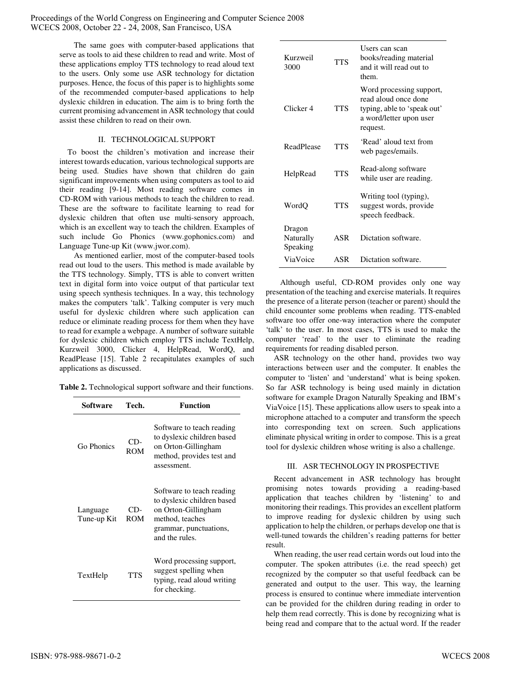Proceedings of the World Congress on Engineering and Computer Science 2008 WCECS 2008, October 22 - 24, 2008, San Francisco, USA

> The same goes with computer-based applications that serve as tools to aid these children to read and write. Most of these applications employ TTS technology to read aloud text to the users. Only some use ASR technology for dictation purposes. Hence, the focus of this paper is to highlights some of the recommended computer-based applications to help dyslexic children in education. The aim is to bring forth the current promising advancement in ASR technology that could assist these children to read on their own.

## II. TECHNOLOGICAL SUPPORT

To boost the children's motivation and increase their interest towards education, various technological supports are being used. Studies have shown that children do gain significant improvements when using computers as tool to aid their reading [9-14]. Most reading software comes in CD-ROM with various methods to teach the children to read. These are the software to facilitate learning to read for dyslexic children that often use multi-sensory approach, which is an excellent way to teach the children. Examples of such include Go Phonics (www.gophonics.com) and Language Tune-up Kit (www.jwor.com).

As mentioned earlier, most of the computer-based tools read out loud to the users. This method is made available by the TTS technology. Simply, TTS is able to convert written text in digital form into voice output of that particular text using speech synthesis techniques. In a way, this technology makes the computers 'talk'. Talking computer is very much useful for dyslexic children where such application can reduce or eliminate reading process for them when they have to read for example a webpage. A number of software suitable for dyslexic children which employ TTS include TextHelp, Kurzweil 3000, Clicker 4, HelpRead, WordQ, and ReadPlease [15]. Table 2 recapitulates examples of such applications as discussed.

**Table 2.** Technological support software and their functions.

| Software                | Tech.             | <b>Function</b>                                                                                                                               |
|-------------------------|-------------------|-----------------------------------------------------------------------------------------------------------------------------------------------|
| Go Phonics              | CD-<br><b>ROM</b> | Software to teach reading<br>to dyslexic children based<br>on Orton-Gillingham<br>method, provides test and<br>assessment.                    |
| Language<br>Tune-up Kit | CD-<br><b>ROM</b> | Software to teach reading<br>to dyslexic children based<br>on Orton-Gillingham<br>method, teaches<br>grammar, punctuations,<br>and the rules. |
| TextHelp                | <b>TTS</b>        | Word processing support,<br>suggest spelling when<br>typing, read aloud writing<br>for checking.                                              |

| Kurzweil<br>3000                | <b>TTS</b> | Users can scan<br>books/reading material<br>and it will read out to<br>them.                                           |
|---------------------------------|------------|------------------------------------------------------------------------------------------------------------------------|
| Clicker 4                       | <b>TTS</b> | Word processing support,<br>read aloud once done<br>typing, able to 'speak out'<br>a word/letter upon user<br>request. |
| ReadPlease                      | <b>TTS</b> | 'Read' aloud text from<br>web pages/emails.                                                                            |
| HelpRead                        | <b>TTS</b> | Read-along software<br>while user are reading.                                                                         |
| WordQ                           | <b>TTS</b> | Writing tool (typing),<br>suggest words, provide<br>speech feedback.                                                   |
| Dragon<br>Naturally<br>Speaking | ASR        | Dictation software.                                                                                                    |
| ViaVoice                        | ASR        | Dictation software.                                                                                                    |

Although useful, CD-ROM provides only one way presentation of the teaching and exercise materials. It requires the presence of a literate person (teacher or parent) should the child encounter some problems when reading. TTS-enabled software too offer one-way interaction where the computer 'talk' to the user. In most cases, TTS is used to make the computer 'read' to the user to eliminate the reading requirements for reading disabled person.

ASR technology on the other hand, provides two way interactions between user and the computer. It enables the computer to 'listen' and 'understand' what is being spoken. So far ASR technology is being used mainly in dictation software for example Dragon Naturally Speaking and IBM's ViaVoice [15]. These applications allow users to speak into a microphone attached to a computer and transform the speech into corresponding text on screen. Such applications eliminate physical writing in order to compose. This is a great tool for dyslexic children whose writing is also a challenge.

## III. ASR TECHNOLOGY IN PROSPECTIVE

Recent advancement in ASR technology has brought promising notes towards providing a reading-based application that teaches children by 'listening' to and monitoring their readings. This provides an excellent platform to improve reading for dyslexic children by using such application to help the children, or perhaps develop one that is well-tuned towards the children's reading patterns for better result.

When reading, the user read certain words out loud into the computer. The spoken attributes (i.e. the read speech) get recognized by the computer so that useful feedback can be generated and output to the user. This way, the learning process is ensured to continue where immediate intervention can be provided for the children during reading in order to help them read correctly. This is done by recognizing what is being read and compare that to the actual word. If the reader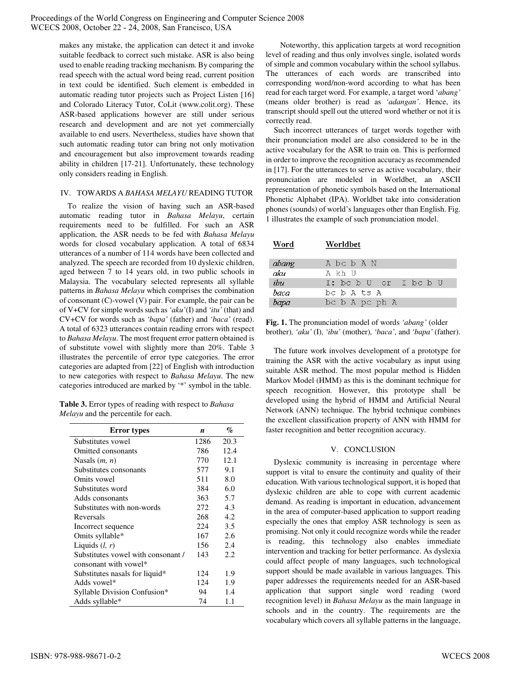Proceedings of the World Congress on Engineering and Computer Science 2008 WCECS 2008, October 22 - 24, 2008, San Francisco, USA

> makes any mistake, the application can detect it and invoke suitable feedback to correct such mistake. ASR is also being used to enable reading tracking mechanism. By comparing the read speech with the actual word being read, current position in text could be identified. Such element is embedded in automatic reading tutor projects such as Project Listen [16] and Colorado Literacy Tutor, CoLit (www.colit.org). These ASR-based applications however are still under serious research and development and are not yet commercially available to end users. Nevertheless, studies have shown that such automatic reading tutor can bring not only motivation and encouragement but also improvement towards reading ability in children [17-21]. Unfortunately, these technology only considers reading in English.

## IV. TOWARDS A *BAHASA MELAYU* READING TUTOR

To realize the vision of having such an ASR-based automatic reading tutor in *Bahasa Melayu*, certain requirements need to be fulfilled. For such an ASR application, the ASR needs to be fed with *Bahasa Melayu* words for closed vocabulary application. A total of 6834 utterances of a number of 114 words have been collected and analyzed. The speech are recorded from 10 dyslexic children, aged between 7 to 14 years old, in two public schools in Malaysia. The vocabulary selected represents all syllable patterns in *Bahasa Melayu* which comprises the combination of consonant (C)-vowel (V) pair. For example, the pair can be of V+CV for simple words such as *'aku'*(I) and *'itu'* (that) and CV+CV for words such as *'bapa'* (father) and *'baca'* (read). A total of 6323 utterances contain reading errors with respect to *Bahasa Melayu*. The most frequent error pattern obtained is of substitute vowel with slightly more than 20%. Table 3 illustrates the percentile of error type categories. The error categories are adapted from [22] of English with introduction to new categories with respect to *Bahasa Melayu*. The new categories introduced are marked by '\*' symbol in the table.

**Table 3.** Error types of reading with respect to *Bahasa Melayu* and the percentile for each.

| <b>Error</b> types                 | n    | %    |
|------------------------------------|------|------|
| Substitutes vowel                  | 1286 | 20.3 |
| Omitted consonants                 | 786  | 12.4 |
| Nasals $(m, n)$                    | 770  | 12.1 |
| Substitutes consonants             | 577  | 9.1  |
| Omits vowel                        | 511  | 8.0  |
| Substitutes word                   | 384  | 6.0  |
| Adds consonants                    | 363  | 5.7  |
| Substitutes with non-words         | 272  | 4.3  |
| Reversals                          | 268  | 4.2  |
| Incorrect sequence                 | 224  | 3.5  |
| Omits syllable*                    | 167  | 2.6  |
| Liquids $(l, r)$                   | 156  | 2.4  |
| Substitutes vowel with consonant / | 143  | 2.2. |
| consonant with yowel*              |      |      |
| Substitutes nasals for liquid*     | 124  | 1.9  |
| Adds vowel*                        | 124  | 1.9  |
| Syllable Division Confusion*       | 94   | 1.4  |
| Adds syllable*                     | 74   | 1.1  |

Noteworthy, this application targets at word recognition level of reading and thus only involves single, isolated words of simple and common vocabulary within the school syllabus. The utterances of each words are transcribed into corresponding word/non-word according to what has been read for each target word. For example, a target word '*abang'*  (means older brother) is read as *'adangan'*. Hence, its transcript should spell out the uttered word whether or not it is correctly read.

Such incorrect utterances of target words together with their pronunciation model are also considered to be in the active vocabulary for the ASR to train on. This is performed in order to improve the recognition accuracy as recommended in [17]. For the utterances to serve as active vocabulary, their pronunciation are modeled in Worldbet, an ASCII representation of phonetic symbols based on the International Phonetic Alphabet (IPA). Worldbet take into consideration phones (sounds) of world's languages other than English. Fig. 1 illustrates the example of such pronunciation model.

| Word  | Worldbet              |
|-------|-----------------------|
| abang | A bc b A N            |
| aku   | A kh U                |
| ibu   | T: bc b U or T bc b U |
| haca  | bc b A ts A           |
| bapa  | bc b A pc ph A        |

**Fig. 1.** The pronunciation model of words *'abang'* (older brother)*, 'aku'* (I)*, 'ibu'* (mother)*, 'baca',* and *'bapa'* (father).

The future work involves development of a prototype for training the ASR with the active vocabulary as input using suitable ASR method. The most popular method is Hidden Markov Model (HMM) as this is the dominant technique for speech recognition. However, this prototype shall be developed using the hybrid of HMM and Artificial Neural Network (ANN) technique. The hybrid technique combines the excellent classification property of ANN with HMM for faster recognition and better recognition accuracy.

## V. CONCLUSION

Dyslexic community is increasing in percentage where support is vital to ensure the continuity and quality of their education. With various technological support, it is hoped that dyslexic children are able to cope with current academic demand. As reading is important in education, advancement in the area of computer-based application to support reading especially the ones that employ ASR technology is seen as promising. Not only it could recognize words while the reader is reading, this technology also enables immediate intervention and tracking for better performance. As dyslexia could affect people of many languages, such technological support should be made available in various languages. This paper addresses the requirements needed for an ASR-based application that support single word reading (word recognition level) in *Bahasa Melayu* as the main language in schools and in the country. The requirements are the vocabulary which covers all syllable patterns in the language,